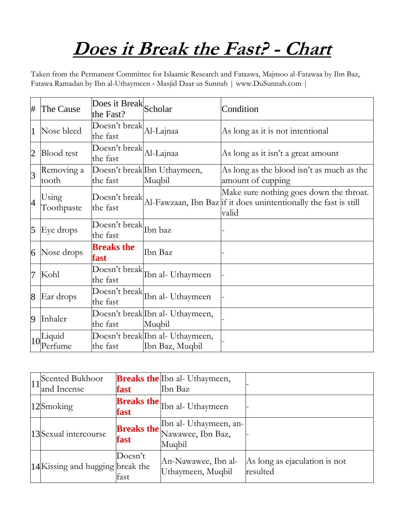## **Does it Break the Fast? - Chart**

Taken from the Permanent Committee for Islaamic Research and Fataawa, Majmoo al-Fatawaa by Ibn Baz, Fatawa Ramadan by Ibn al-Uthaymeen - Masjid Daar us Sunnah | www.DuSunnah.com |

| #              | The Cause           | Does it Break Scholar<br>the Fast?  |                                                     | Condition                                                                                                            |
|----------------|---------------------|-------------------------------------|-----------------------------------------------------|----------------------------------------------------------------------------------------------------------------------|
| $\mathbf 1$    | Nose bleed          | Doesn't break Al-Lajnaa<br>the fast |                                                     | As long as it is not intentional                                                                                     |
| $\overline{2}$ | <b>Blood</b> test   | Doesn't break<br>the fast           | Al-Lajnaa                                           | As long as it isn't a great amount                                                                                   |
| 3              | Removing a<br>tooth | the fast                            | Doesn't break Ibn Uthaymeen,<br>Muqbil              | As long as the blood isn't as much as the<br>amount of cupping                                                       |
| $\overline{4}$ | Using<br>Toothpaste | Doesn't break<br>the fast           |                                                     | Make sure nothing goes down the throat.<br>Al-Fawzaan, Ibn Baz if it does unintentionally the fast is still<br>valid |
| $\overline{5}$ | Eye drops           | Doesn't break<br>the fast           | Ibn baz                                             |                                                                                                                      |
| $\overline{6}$ | Nose drops          | <b>Breaks the</b><br>fast           | Ibn Baz                                             |                                                                                                                      |
| 7              | Kohl                | the fast                            | Doesn't break Ibn al-Uthaymeen                      |                                                                                                                      |
| $\overline{8}$ | Ear drops           | the fast                            | Doesn't break Ibn al- Uthaymeen                     |                                                                                                                      |
| 9              | Inhaler             | the fast                            | Doesn't break Ibn al- Uthaymeen,<br>Muqbil          |                                                                                                                      |
|                | Liquid<br>Perfume   | the fast                            | Doesn't break Ibn al- Uthaymeen,<br>Ibn Baz, Muqbil |                                                                                                                      |

| 11 <sup>Scented</sup> Bukhoor<br>and Incense | fast            | <b>Breaks the Ibn al- Uthaymeen,</b><br>Ibn Baz                                           |                                           |
|----------------------------------------------|-----------------|-------------------------------------------------------------------------------------------|-------------------------------------------|
| 12Smoking                                    | fast            | <b>Breaks the</b> Ibn al- Uthaymeen                                                       |                                           |
| 13Sexual intercourse                         | fast            | <b>Breaks the</b> Ibn al- Uthaymeen, an-<br><b>Breaks the</b> Nawawee, Ibn Baz,<br>Muqbil |                                           |
| 14 Kissing and hugging break the             | Doesn't<br>fast | An-Nawawee, Ibn al-<br>Uthaymeen, Muqbil                                                  | As long as ejaculation is not<br>resulted |